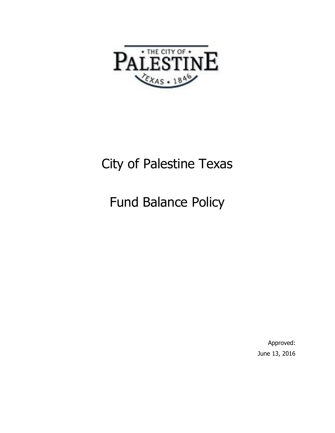

# City of Palestine Texas

Fund Balance Policy

Approved: June 13, 2016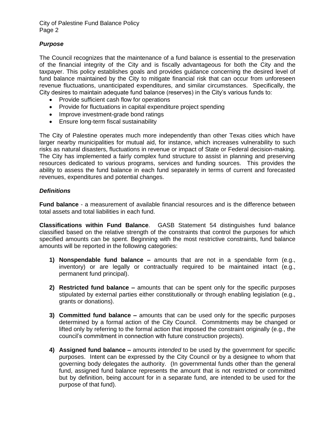City of Palestine Fund Balance Policy Page 2

## *Purpose*

The Council recognizes that the maintenance of a fund balance is essential to the preservation of the financial integrity of the City and is fiscally advantageous for both the City and the taxpayer. This policy establishes goals and provides guidance concerning the desired level of fund balance maintained by the City to mitigate financial risk that can occur from unforeseen revenue fluctuations, unanticipated expenditures, and similar circumstances. Specifically, the City desires to maintain adequate fund balance (reserves) in the City's various funds to:

- Provide sufficient cash flow for operations
- Provide for fluctuations in capital expenditure project spending
- Improve investment-grade bond ratings
- Ensure long-term fiscal sustainability

The City of Palestine operates much more independently than other Texas cities which have larger nearby municipalities for mutual aid, for instance, which increases vulnerability to such risks as natural disasters, fluctuations in revenue or impact of State or Federal decision-making. The City has implemented a fairly complex fund structure to assist in planning and preserving resources dedicated to various programs, services and funding sources. This provides the ability to assess the fund balance in each fund separately in terms of current and forecasted revenues, expenditures and potential changes.

## *Definitions*

**Fund balance** - a measurement of available financial resources and is the difference between total assets and total liabilities in each fund.

**Classifications within Fund Balance**. GASB Statement 54 distinguishes fund balance classified based on the relative strength of the constraints that control the purposes for which specified amounts can be spent. Beginning with the most restrictive constraints, fund balance amounts will be reported in the following categories:

- **1) Nonspendable fund balance –** amounts that are not in a spendable form (e.g., inventory) or are legally or contractually required to be maintained intact (e.g., permanent fund principal).
- **2) Restricted fund balance –** amounts that can be spent only for the specific purposes stipulated by external parties either constitutionally or through enabling legislation (e.g., grants or donations).
- **3) Committed fund balance –** amounts that can be used only for the specific purposes determined by a formal action of the City Council. Commitments may be changed or lifted only by referring to the formal action that imposed the constraint originally (e.g., the council's commitment in connection with future construction projects).
- **4) Assigned fund balance –** amounts *intended* to be used by the government for specific purposes. Intent can be expressed by the City Council or by a designee to whom that governing body delegates the authority. (In governmental funds other than the general fund, assigned fund balance represents the amount that is not restricted or committed but by definition, being account for in a separate fund, are intended to be used for the purpose of that fund).